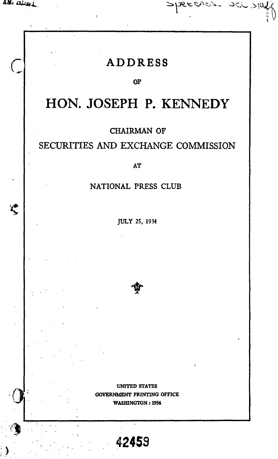$\bigcup$  $\overline{\Lambda}$  .

L

Speeches. Sch slaff

#### OF

## **-HON. JOSEPH P. KENNEDY**

### CHAIRMAN OF

### SECURITIES AND EXCHANGE COMMISSION

#### AT

#### NATIONAL PRESS CLUB

JULY 25, 1934

UNITED STATES GOVERNMENT PRINTING OFFICE WASHINGTON: 1934

**42459**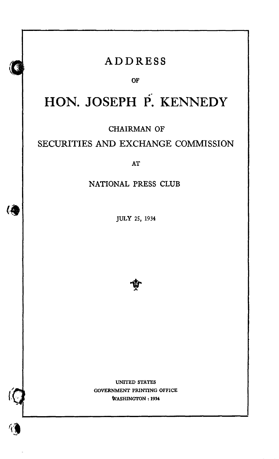### **ADDRESS**

OF

# *«:* **HON. JOSEPH P. KENNEDY**

CHAIRMAN OF

### SECURITIES AND EXCHANGE COMMISSION

AT

### NATIONAL PRESS CLUB

JULY 25, 1934

(角



UNITED STATES GOVERNMENT PRINTING OFFICE WASHINGTON: 1934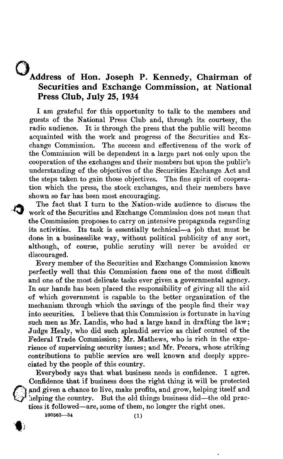### **oAddress of Hon. Joseph P. Kennedy, Chairman of Securities and Exchange Commission, at National Press Club, July 25, 1934**

I am grateful for this opportunity to talk to the members and guests of the National Press Club and, through its courtesy, the radio audience. It is through the press that the public will become acquainted with the work and progress of the Securities and Exchange Commission. The success and effectiveness of the work of the Commission will be dependent in a large part not only upon the cooperation of the exchanges and their members but upon the public's understanding of the objectives of the Securities Exchange Act and the steps taken to gain those objectives. The fine spirit of cooperation which the press, the stock exchanges, and their members have shown so far has been most encouraging.

The fact that I turn to the Nation-wide audience to discuss the work of the Securities and Exchange Commission does not mean that the Commission proposes to carryon intensive propaganda regarding its activities. Its task is essentially technical-a job that must be done in a businesslike way, without political publicity of any sort, although, of course, public scrutiny will never be avoided or discouraged.

Every member of the Securities and Exchange Commission knows perfectly well that this Commission faces one of the most difficult and one of the most delicate tasks ever given a governmental agency. In our hands has been placed the responsibility of giving all the aid of which government is capable to the better organization of the mechanism through which the savings of the people find their way into securities. I believe that this Commission is fortunate in having such men as Mr. Landis, who had a large hand in drafting the law; Judge Healy, who did such splendid service as chief counsel of the Federal Trade Commission; Mr. Mathews, who is rich in the experience of supervising security issues; and Mr. Pecora, whose striking contributions to public service are well known and deeply appreciated by the people of this country.

Everybody says that what business needs is confidence. I agree. Confidence that if business does the right thing it will be protected and given a chance to live, make profits, and grow, helping itself and helping the country. But the old things business did—the old practices it followed-are, some of them, no longer the right ones.

 $100563 - 34$  (1)



~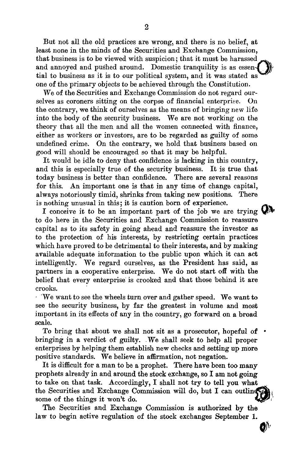But not all the old practices are wrong, and there is no belief, at least none in the minds of the Securities and Exchange Commission, that business is to be viewed with suspicion; that it must be harassed and annoyed and pushed around. Domestic tranquility is as essential to business as it is to our political system, and it was stated as one of the primary objects to be achieved through the Constitution.

We of the Securities and Exchange Commission do not regard ourselves as coroners sitting on the corpse of financial enterprise, On the contrary, we think of ourselves as the means of bringing new life into the body of the security business. We are not working on the theory that all the men and all the women connected with finance, either as workers or investors, are to be regarded as guilty of some undefined crime. On the contrary, we hold that business based on good will should be encouraged so that it may be helpful.

It would be idle to deny that confidence is lacking in this country, and this is especially true of the security business. It is true that today business is better than confidence. There are several reasons for this. An important one is that in any time of change capital, always notoriously timid, shrinks from taking new positions. There is nothing unusual in this; it is caution born of experience.

I conceive it to be an important part of the job we are trying  $\mathbb{Q}$ . to do here in the Securities and Exchange Commission to reassure capital as to its safety in going ahead and reassure the investor as to the protection of his interests, by restricting certain practices which have proved to be detrimental to their interests, and by making available adequate information to the public upon which it can act intelligently. We regard ourselves, as the President has said, as partners in a cooperative enterprise. We do not start off with the belief that every enterprise is crooked and that those behind it are crooks. .

. 'We want to see the wheels turn over and gather speed. We want to see the security business, by far the greatest in volume and most important in its effects of any in the country, go forward on a broad scale.

To bring that about we shall not sit as a prosecutor, hopeful of . bringing in a verdict of guilty. .We shall seek to help all proper enterprises by helping them establish new checks and setting up more positive standards. We believe in affirmation, not negation.

It is difficult for a man to be a prophet. There have been too many prophets already in and around the stock exchange, so I am not going to take on that task. Accordingly, I shall not try to tell you what the Securities and Exchange Commission will do, but I can outling some of the things it won't do.

The Securities and Exchange Commission is authorized by the law to begin active regulation of the stock exchanges September 1.

 $\mathbf{D}^{\prime}$ 

~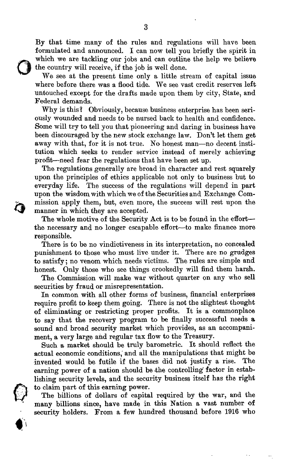By that time many of the rules and regulations will have been formulated and announced. I can now tell you briefly the spirit in which we are tackling our jobs and can outline the help we believe the country will receive, if the job is well done.

0

~

We see at the present time only a little stream of capital issue where before there was a flood tide. We see vast credit reserves left untouched except for the drafts made upon them by city, State, and Federal demands.

Why is this? Obviously, because business enterprise has been seriously wounded and needs to be nursed back to health and confidence. Some will try to tell you that pioneering and daring in business have been discouraged by the new stock exchange law. Don't let them get away with that, for it is not true. No honest man-no decent institution which seeks to render service instead of merely achieving profit-need fear the regulations that have been set up.

The regulations generally are broad in character and rest squarely upon the principles of ethics applicable not only to business but to everyday life. The success of the regulations will depend in part upon the wisdom with which we of the Securities and Exchange Commission apply them, but, even more, the success will rest upon the manner in which they are accepted.

The whole motive of the Security Act is to be found in the effortthe necessary and no longer escapable effort-to make finance more responsible.

There is to be no vindictiveness in its interpretation, no concealed punishment to those who must live under it. There are no grudges to satisfy; no venom which needs victims. The rules are simple and honest. Only those who see things crookedly will find them harsh.

The Commission will make war without quarter on any who sell securities by fraud or misrepresentation.

In common with all other forms of business, financial enterprises require profit to keep them going. There is not the slightest thought of eliminating or restricting proper profits. It is <sup>a</sup> commonplace to say that the recovery program to be finally successful needs a sound and broad security market which provides, as an accompaniment, a very large and regular tax flow to the Treasury.

Such <sup>a</sup> market should be truly barometric. It should reflect the actual economic conditions; and all the manipulations that might be invented would be futile if the bases did not justify a rise. The earning power of a nation should be the controlling factor in establishing security levels, and the security business itself has the right<br>to claim part of this earning power.<br>The billions of dollars of capital required by the war, and the

many billions since, have made in this Nation a vast number of security holders. From a few hundred thousand before 1916 who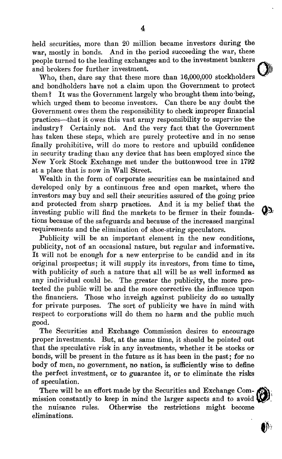held securities, more than 20 million became investors during the war, mostly in bonds. And in the period succeeding the war, these people turned to the leading exchanges and to the investment bankers and brokers for further investment.

Who, then, dare say that these more than 16,000,000 stockholders and bondholders have not a claim upon the Government to protect them? It was the Government largely who brought them into being, which urged them to become investors. Can there be any doubt the Government owes them the responsibility to check improper financial practices-that it owesthis vast army responsibility to supervise the industry? Certainly not. And the very fact that the Government has taken these steps, which are purely protective and in no sense finally prohibitive, will do more to restore and upbuild confidence in security trading than any device that has been employed since the New York Stock Exchange met under the buttonwood tree in 1792 at a place that is now in Wall Street.

Wealth in the form of corporate securities can be maintained and developed only by a continuous free and open market, where the investors may buy and sell their securities assured of the going price and protected from sharp practices. And it is my belief that the investing public will find the markets to be firmer in their foundations because of the safeguards and because of the increased marginal requirements and the elimination of Shoe-string speculators.

Publicity will be an important element in the new conditions. publicity, not of an occasional nature, but regular and informative. It will not be enough for <sup>a</sup> new enterprise to be candid and in its original prospectus; it will supply its investors, from time to time, with publicity of such a nature that all will be as well informed as any individual could be. The greater the publicity, the more protected the public will be and the more corrective the influence upon the financiers. Those who inveigh against publicity do so usually for private purposes. The sort of publicity we have in mind with respect to corporations will do them no harm and the public much good.

The Securities and Exchange Commission desires to encourage proper investments. But, at the same time, it should be pointed out that the speculative risk in any investments, whether it be stocks or bonds, will be present in the future as it has been in the past; for no body of men, no government, no nation, is sufficiently wise to define the perfect investment, or to guarantee it, or to eliminate the risks of speculation.

There will be an effort made by the Securities and Exchange Com- $\bigotimes$ mission constantly to keep in mind the larger aspects and to avoid  $\mathbf W$ the nuisance rules. Otherwise the restrictions might become eliminations.

4